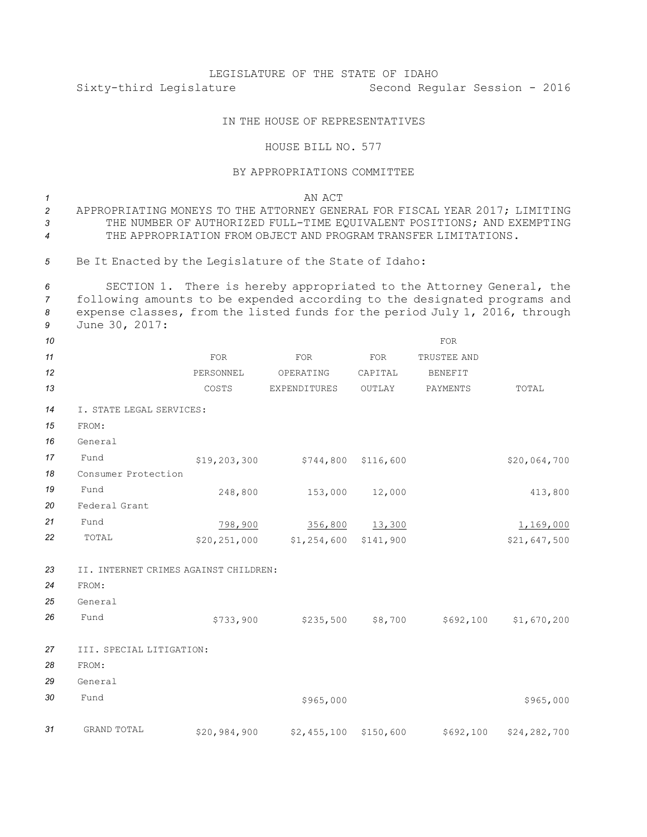## LEGISLATURE OF THE STATE OF IDAHO Sixty-third Legislature Second Regular Session - 2016

## IN THE HOUSE OF REPRESENTATIVES

## HOUSE BILL NO. 577

## BY APPROPRIATIONS COMMITTEE

*1* AN ACT *2* APPROPRIATING MONEYS TO THE ATTORNEY GENERAL FOR FISCAL YEAR 2017; LIMITING 3 THE NUMBER OF AUTHORIZED FULL-TIME EQUIVALENT POSITIONS; AND EXEMPTING *4* THE APPROPRIATION FROM OBJECT AND PROGRAM TRANSFER LIMITATIONS. *<sup>5</sup>* Be It Enacted by the Legislature of the State of Idaho:

 SECTION 1. There is hereby appropriated to the Attorney General, the following amounts to be expended according to the designated programs and expense classes, from the listed funds for the period July 1, 2016, through June 30, 2017:

| 10 |                                       |                |                         |           | <b>FOR</b>     |              |
|----|---------------------------------------|----------------|-------------------------|-----------|----------------|--------------|
| 11 |                                       | <b>FOR</b>     | FOR                     | FOR       | TRUSTEE AND    |              |
| 12 |                                       | PERSONNEL      | OPERATING               | CAPITAL   | <b>BENEFIT</b> |              |
| 13 |                                       | COSTS          | EXPENDITURES            | OUTLAY    | PAYMENTS       | TOTAL        |
| 14 | I. STATE LEGAL SERVICES:              |                |                         |           |                |              |
| 15 | FROM:                                 |                |                         |           |                |              |
| 16 | General                               |                |                         |           |                |              |
| 17 | Fund                                  | \$19,203,300   | $$744,800$ $$116,600$   |           |                | \$20,064,700 |
| 18 | Consumer Protection                   |                |                         |           |                |              |
| 19 | Fund                                  | 248,800        | 153,000 12,000          |           |                | 413,800      |
| 20 | Federal Grant                         |                |                         |           |                |              |
| 21 | Fund                                  | 798,900        | 356,800                 | 13,300    |                | 1,169,000    |
| 22 | TOTAL                                 | \$20, 251, 000 | $$1,254,600$ $$141,900$ |           |                | \$21,647,500 |
| 23 | II. INTERNET CRIMES AGAINST CHILDREN: |                |                         |           |                |              |
| 24 | FROM:                                 |                |                         |           |                |              |
| 25 | General                               |                |                         |           |                |              |
| 26 | Fund                                  | \$733,900      | $$235,500$ $$8,700$     |           | \$692,100      | \$1,670,200  |
| 27 | III. SPECIAL LITIGATION:              |                |                         |           |                |              |
| 28 | FROM:                                 |                |                         |           |                |              |
| 29 | General                               |                |                         |           |                |              |
| 30 | Fund                                  |                | \$965,000               |           |                | \$965,000    |
| 31 | GRAND TOTAL                           | \$20,984,900   | \$2,455,100             | \$150,600 | \$692,100      | \$24,282,700 |